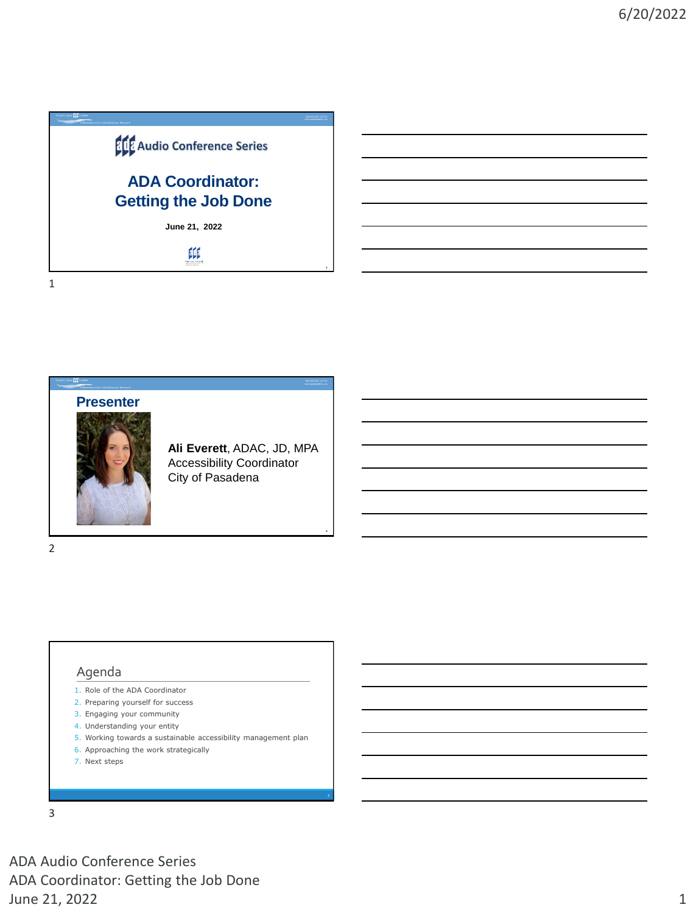





**Ali Everett**, ADAC, JD, MPA Accessibility Coordinator City of Pasadena

**1**

**2**

2

1

### Agenda

- 1. Role of the ADA Coordinator
- 2. Preparing yourself for success
- 3. Engaging your community
- 4. Understanding your entity 5. Working towards a sustainable accessibility management plan
- 6. Approaching the work strategically
- 7. Next steps

3

ADA Audio Conference Series ADA Coordinator: Getting the Job Done June 21, 2022 2012 12:00 12:00 12:00 12:00 12:00 12:00 12:00 12:00 12:00 12:00 12:00 12:00 12:00 12:00 12:00 1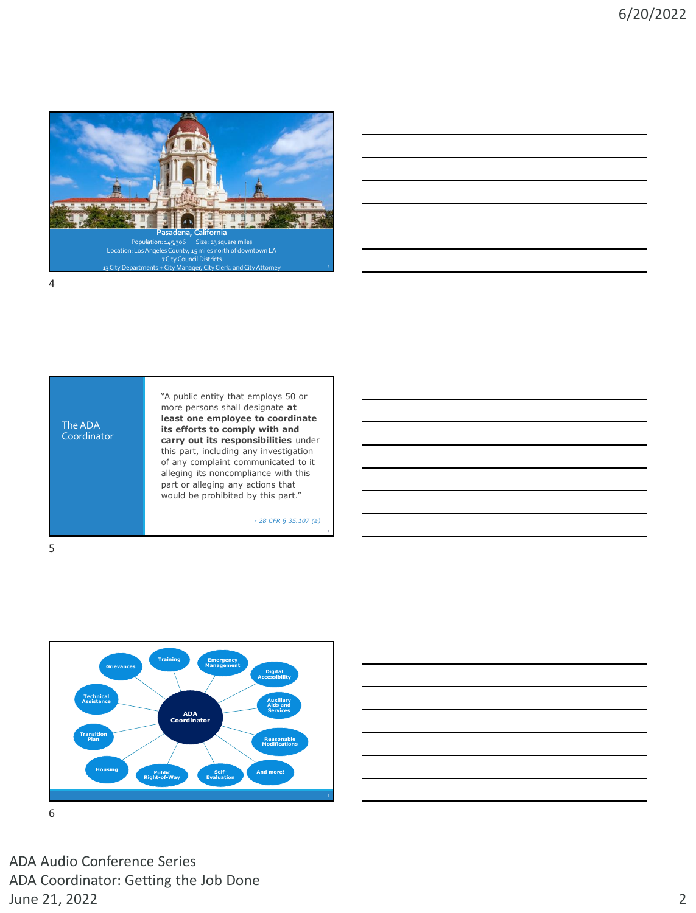





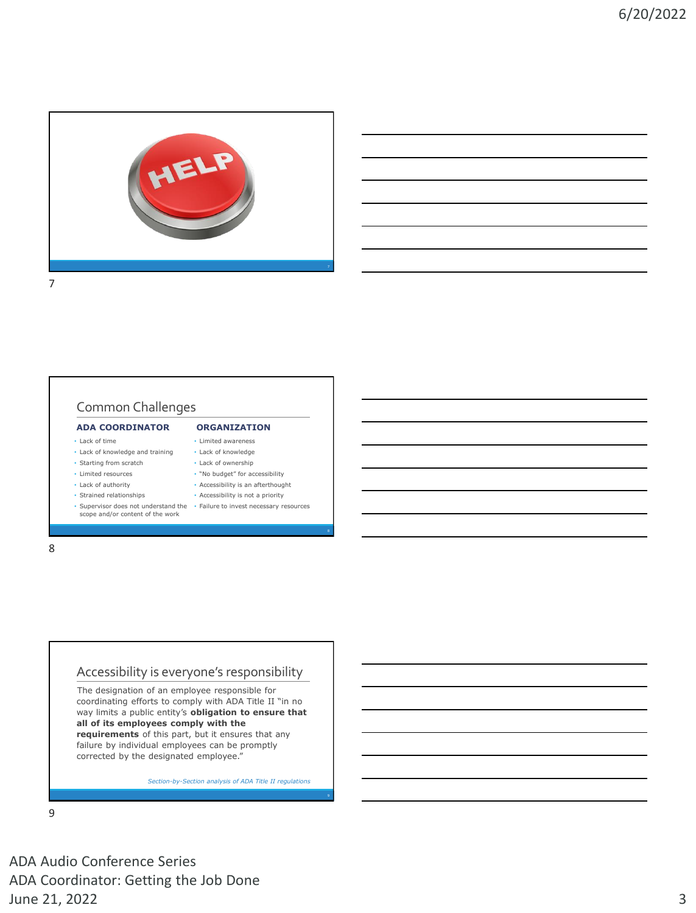

# Common Challenges

### **ADA COORDINATOR**

- Lack of time
- Lack of knowledge and training
- Starting from scratch
- Limited resources • Lack of authority
- Strained relationships
- scope and/or content of the work

### **ORGANIZATION** • Limited awareness

- Lack of knowledge
- Lack of ownership
- "No budget" for accessibility
- Accessibility is an afterthought
- Accessibility is not a priority
- Supervisor does not understand the Failure to invest necessary resources

8

# Accessibility is everyone's responsibility

The designation of an employee responsible for coordinating efforts to comply with ADA Title II "in no way limits a public entity's **obligation to ensure that all of its employees comply with the requirements** of this part, but it ensures that any failure by individual employees can be promptly corrected by the designated employee."

*Section-by-Section analysis of ADA Title II regulations* 

9

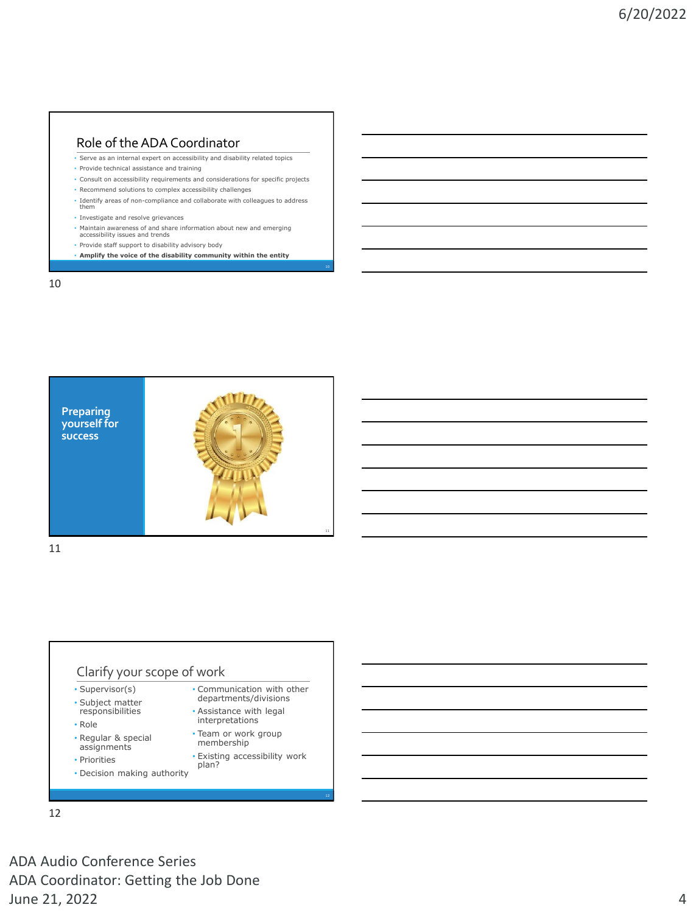### Role of the ADA Coordinator

• Serve as an internal expert on accessibility and disability related topics

- Provide technical assistance and training
- Consult on accessibility requirements and considerations for specific projects
- Recommend solutions to complex accessibility challenges
- Identify areas of non-compliance and collaborate with colleagues to address them
- Investigate and resolve grievances
- Maintain awareness of and share information about new and emerging accessibility issues and trends
- 
- Provide staff support to disability advisory body
- **Amplify the voice of the disability community within the entity**

10



11

### Clarify your scope of work

- Supervisor(s)
- Subject matter responsibilities
- Role
- Regular & special assignments
- Priorities
- Decision making authority
- Communication with other departments/divisions
- Assistance with legal interpretations
- Team or work group membership
- Existing accessibility work plan?

12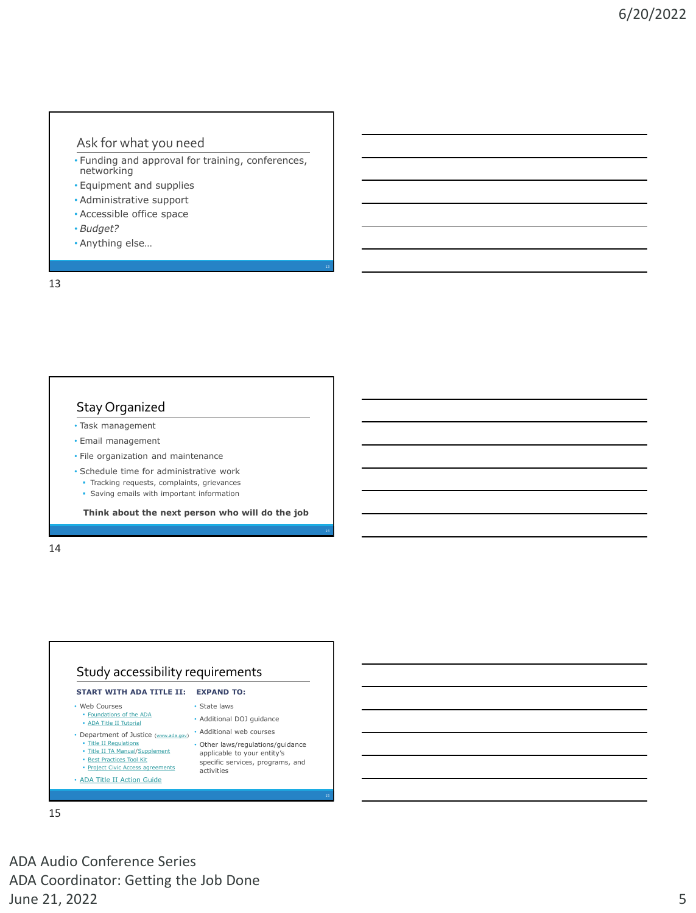### Ask for what you need

- Funding and approval for training, conferences, networking
- Equipment and supplies
- Administrative support
- Accessible office space
- *Budget?*
- Anything else…

13

### Stay Organized

- Task management
- Email management
- File organization and maintenance
- Schedule time for administrative work
	- Tracking requests, complaints, grievances
	- **Saving emails with important information**

**Think about the next person who will do the job**

14



15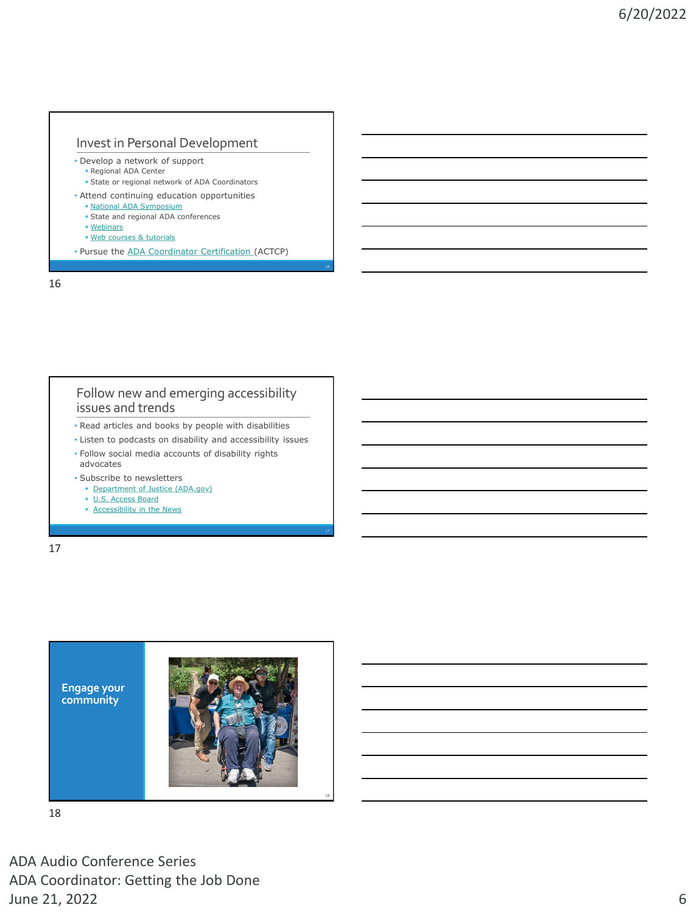# Invest in Personal Development

- Develop a network of support
	- Regional ADA Center
	- State or regional network of ADA Coordinators
- Attend continuing education opportunities
	- **. [National ADA Symposium](https://www.adasymposium.org/)**
	- State and regional ADA conferences
	- [Webinars](http://www.accessibilityonline.org/)
	- · [Web courses & tutorials](http://www.adata.org/ada-training)
- Pursue the [ADA Coordinator Certification](https://www.adacoordinator.org/) (ACTCP)

16

### Follow new and emerging accessibility issues and trends

- Read articles and books by people with disabilities
- Listen to podcasts on disability and accessibility issues • Follow social media accounts of disability rights
- advocates • Subscribe to newsletters
- **[Department of Justice \(ADA.gov\)](https://public.govdelivery.com/accounts/USDOJ/subscriber/new?category_id=USDOJ_C26)**
- **[U.S. Access Board](https://www.access-board.gov/news/)**
- **[Accessibility in the News](https://www.microassist.com/digital-access/news/)**

17



18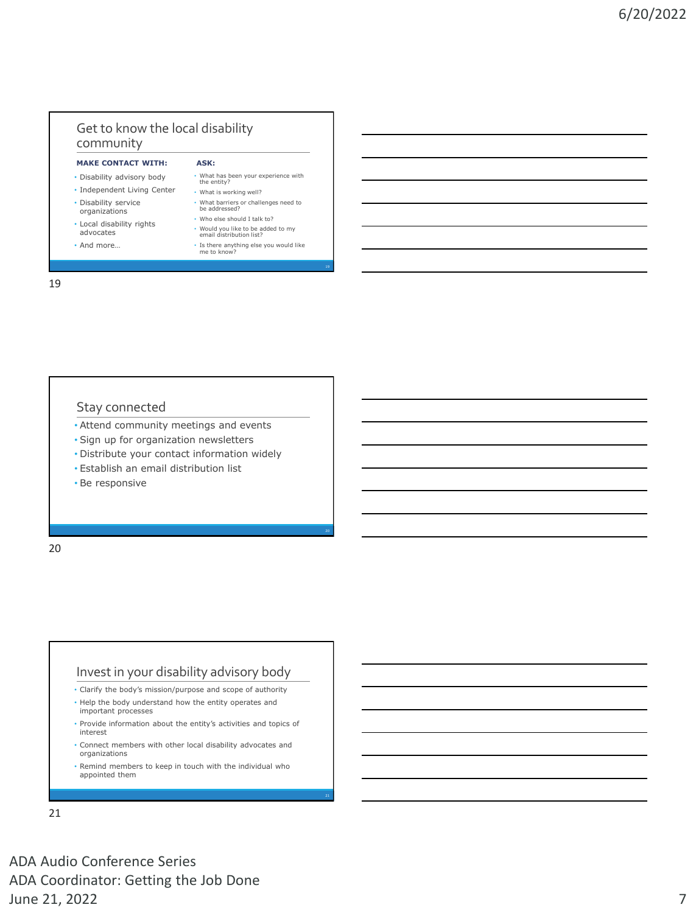# Get to know the local disability community

### **MAKE CONTACT WITH:**

- Disability advisory body
- Independent Living Center
- Disability service organizations
- Local disability rights
- advocates
- And more…
- What has been your experience with the entity? • What is working well? • What barriers or challenges need to be addressed?
- Who else should I talk to?

**ASK:**

- Would you like to be added to my email distribution list?
- Is there anything else you would like me to know?

19

### Stay connected

- Attend community meetings and events
- Sign up for organization newsletters
- Distribute your contact information widely
- Establish an email distribution list
- Be responsive

20

### Invest in your disability advisory body

- Clarify the body's mission/purpose and scope of authority
- Help the body understand how the entity operates and important processes
- Provide information about the entity's activities and topics of interest
- Connect members with other local disability advocates and organizations
- Remind members to keep in touch with the individual who appointed them

21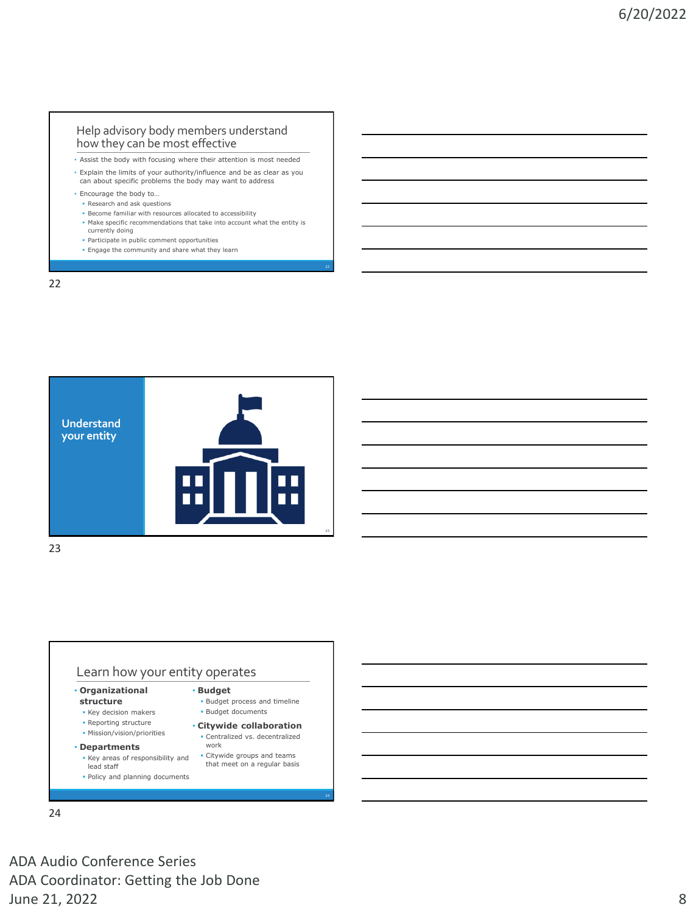### Help advisory body members understand how they can be most effective

- Assist the body with focusing where their attention is most needed
- Explain the limits of your authority/influence and be as clear as you can about specific problems the body may want to address
- Encourage the body to…
	- Research and ask questions ▪ Become familiar with resources allocated to accessibility
	- Make specific recommendations that take into account what the entity is
	- currently doing
	- Participate in public comment opportunities
	- **Engage the community and share what they learn**

22



23

### Learn how your entity operates

- **Organizational structure**
- Key decision makers **• Reporting structure**
- Mission/vision/priorities
- **Departments**
	- Key areas of responsibility and
	- lead staff ▪ Policy and planning documents
- **Citywide collaboration**  ▪ Centralized vs. decentralized work

• **Budget**

▪ Citywide groups and teams that meet on a regular basis

**· Budget process and timeline · Budget documents** 

24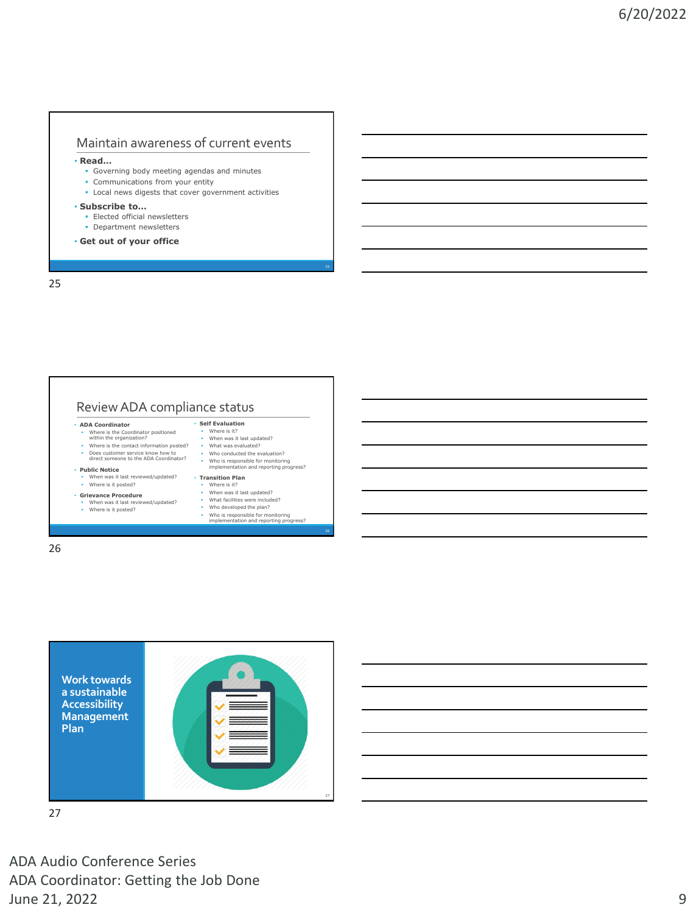### Maintain awareness of current events

• **Read…**

- Governing body meeting agendas and minutes
- **Communications from your entity**
- Local news digests that cover government activities

### • **Subscribe to…**

- Elected official newsletters
- **•** Department newsletters
- **Get out of your office**

25

### Review ADA compliance status

- **ADA Coordinator** Where is the Coordinator positioned within the organization?
- Where is the contact information posted?
- Does customer service know how to direct someone to the ADA Coordinator?

### • **Public Notice**

▪ When was it last reviewed/updated? ▪ Where is it posted?

• **Grievance Procedure**

### ▪ When was it last reviewed/updated? ▪ Where is it posted?

▪ What facilities were included? ▪ Who developed the plan?

• **Self Evaluation** ▪ Where is it? ▪ When was it last updated? ▪ What was evaluated? ▪ Who conducted the evaluation? ▪ Who is responsible for monitoring implementation and reporting progress?

• **Transition Plan** Where is it? ▪ When was it last updated?

▪ Who is responsible for monitoring implementation and reporting progress?

26



27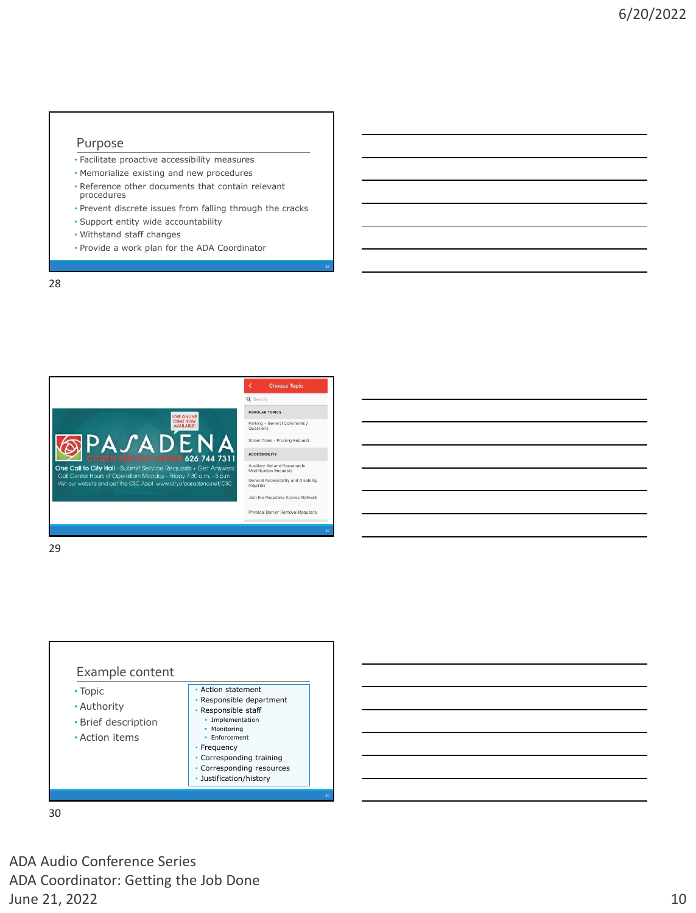### Purpose

- Facilitate proactive accessibility measures
- Memorialize existing and new procedures
- Reference other documents that contain relevant procedures
- Prevent discrete issues from falling through the cracks
- Support entity wide accountability
- Withstand staff changes
- Provide a work plan for the ADA Coordinator

28



29



30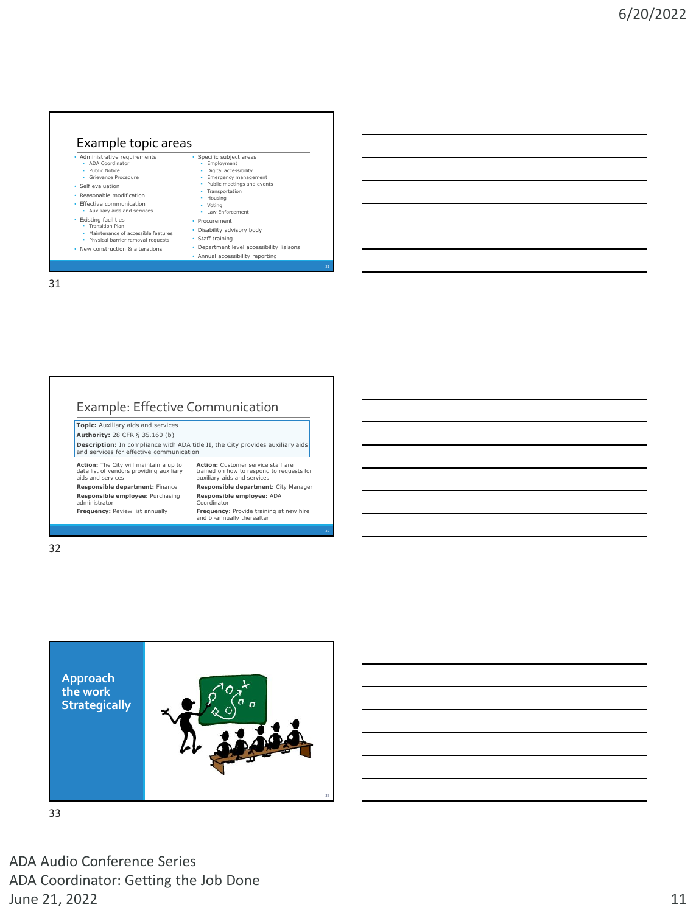### Example topic areas  $\overline{\cdot}$  Administrative require ▪ ADA Coordinator ▪ Public Notice ▪ Grievance Procedure • Self evaluation • Reasonable modification • Effective communication ▪ Auxiliary aids and services • Existing facilities • Transition Plan **• Maintenance of accessible features**<br>• Physical barrier removal requests • New construction & alterations Specific subject areas ▪ Employment ▪ Digital accessibility **•** Emergency management ▪ Public meetings and events ▪ Transportation ▪ Housing ▪ Voting ▪ Law Enforcement • Procurement • Disability advisory body • Staff training • Department level accessibility liaisons • Annual accessibility reporting

31

# Example: Effective Communication

**Topic:** Auxiliary aids and services **Authority:** 28 CFR § 35.160 (b) **Description:** In compliance with ADA title II, the City provides auxiliary aids and services for effective communication

**Action:** The City will maintain a up to date list of vendors providing auxiliary aids and services **Responsible department:** Finance **Responsible employee:** Purchasing administrator

**Frequency:** Review list annually

**Action:** Customer service staff are trained on how to respond to requests for auxiliary aids and services **Responsible department:** City Manager **Responsible employee:** ADA Coordinator

**Frequency:** Provide training at new hire and bi-annually thereafter

32



33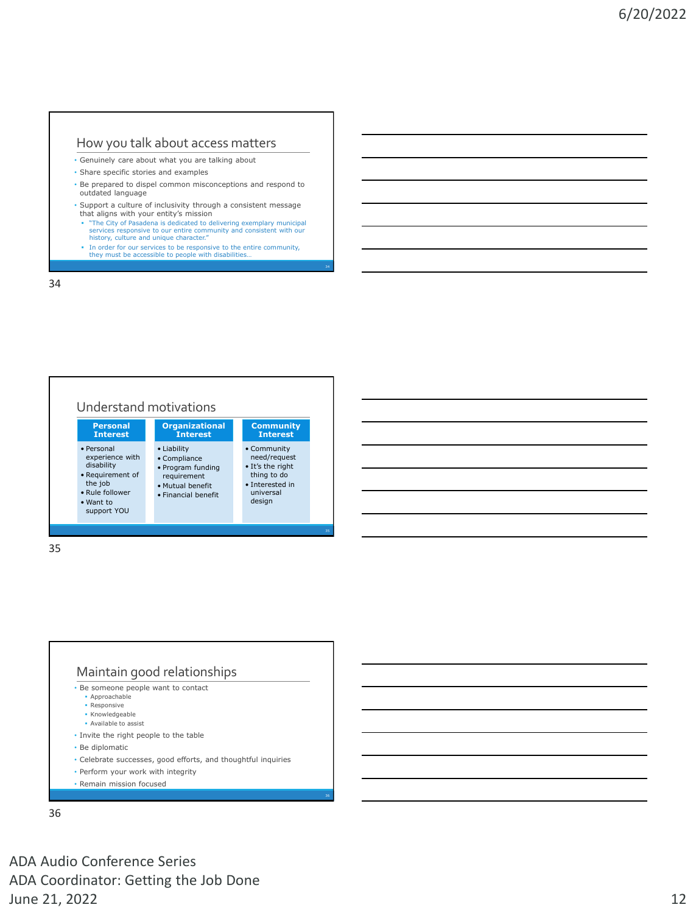### How you talk about access matters

- Genuinely care about what you are talking about
- Share specific stories and examples
- Be prepared to dispel common misconceptions and respond to outdated language
- Support a culture of inclusivity through a consistent message that aligns with your entity's mission
- "The City of Pasadena is dedicated to delivering exemplary municipal services responsive to our entire community and consistent with our history, culture and unique character."
- In order for our services to be responsive to the entire community, they must be accessible to people with disabilities.

34



35



- Approachable
- Responsive ▪ Knowledgeable
- Available to assist
- Invite the right people to the table
- Be diplomatic
- Celebrate successes, good efforts, and thoughtful inquiries
- Perform your work with integrity
- Remain mission focused

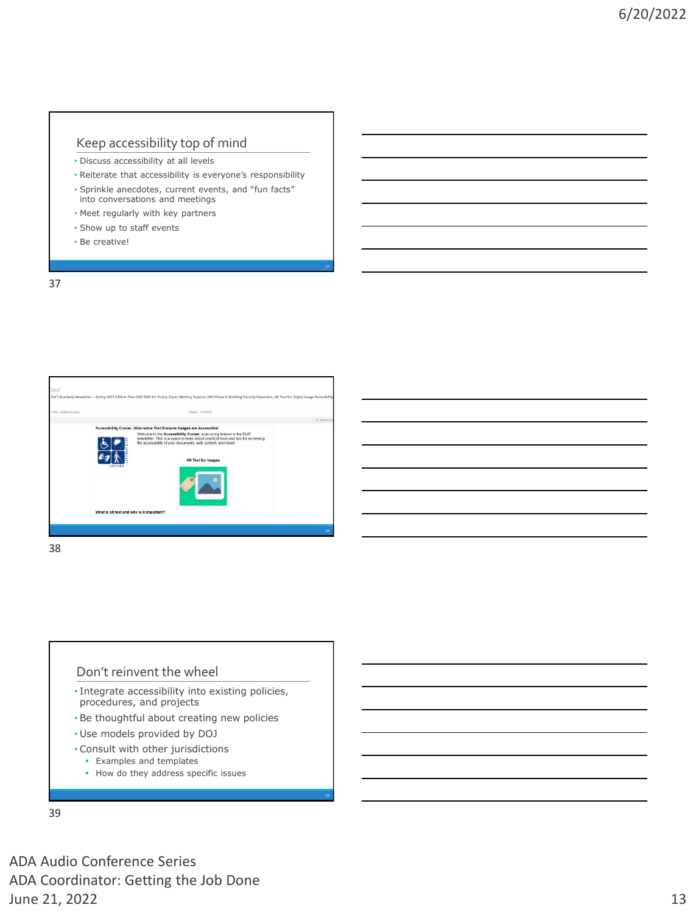### Keep accessibility top of mind

- Discuss accessibility at all levels
- Reiterate that accessibility is everyone's responsibility
- Sprinkle anecdotes, current events, and "fun facts" into conversations and meetings
- Meet regularly with key partners
- Show up to staff events
- Be creative!

37



38

### Don't reinvent the wheel

- Integrate accessibility into existing policies, procedures, and projects
- Be thoughtful about creating new policies
- Use models provided by DOJ
- Consult with other jurisdictions
	- **Examples and templates**
	- **·** How do they address specific issues

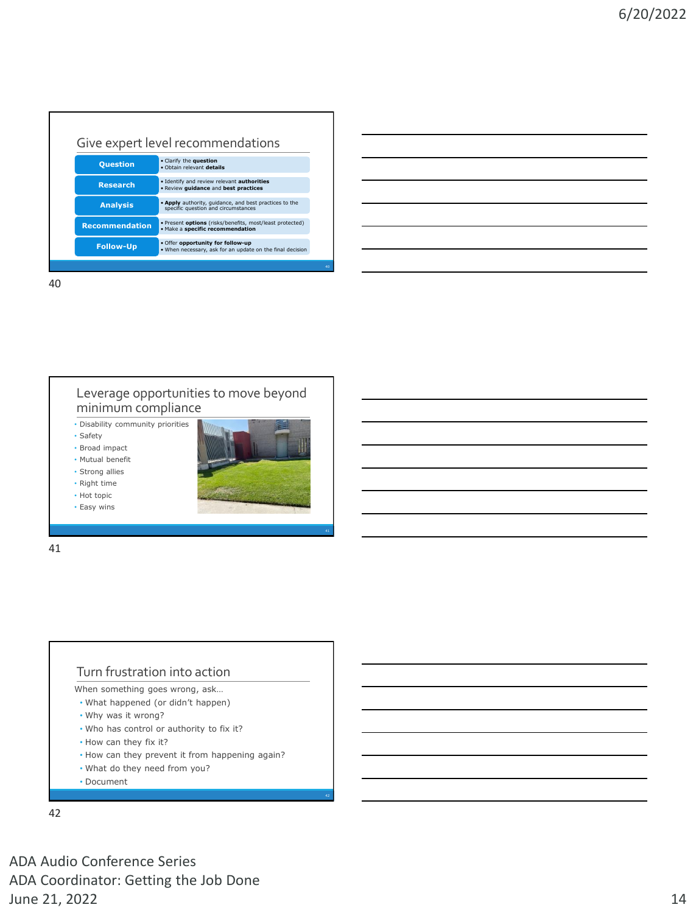| Give expert level recommendations |                                                                                                |
|-----------------------------------|------------------------------------------------------------------------------------------------|
| <b>Question</b>                   | • Clarify the question<br>. Obtain relevant details                                            |
| <b>Research</b>                   | . Identify and review relevant authorities<br>. Review guidance and best practices             |
| <b>Analysis</b>                   | . Apply authority, quidance, and best practices to the<br>specific question and circumstances  |
| <b>Recommendation</b>             | . Present options (risks/benefits, most/least protected)<br>· Make a specific recommendation   |
| <b>Follow-Up</b>                  | . Offer opportunity for follow-up<br>. When necessary, ask for an update on the final decision |
|                                   |                                                                                                |

40

### Leverage opportunities to move beyond minimum compliance

• Disability community priorities

• Safety

• Broad impact • Mutual benefit

• Strong allies

• Right time

• Hot topic

• Easy wins



41

### Turn frustration into action

When something goes wrong, ask…

- What happened (or didn't happen)
- Why was it wrong?
- Who has control or authority to fix it?
- How can they fix it?
- How can they prevent it from happening again?
- What do they need from you?
- Document

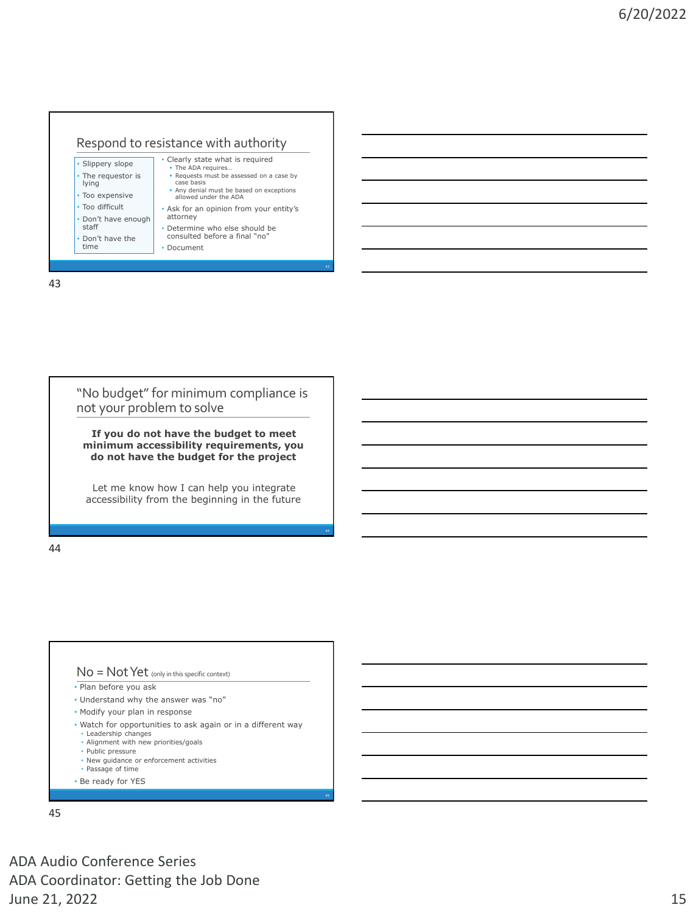

43



**minimum accessibility requirements, you do not have the budget for the project**

Let me know how I can help you integrate accessibility from the beginning in the future

44



- Plan before you ask
- Understand why the answer was "no"
- Modify your plan in response
- Watch for opportunities to ask again or in a different way
- Leadership changes
- Alignment with new priorities/goals
- Public pressure
- New guidance or enforcement activities
- Passage of time
- Be ready for YES

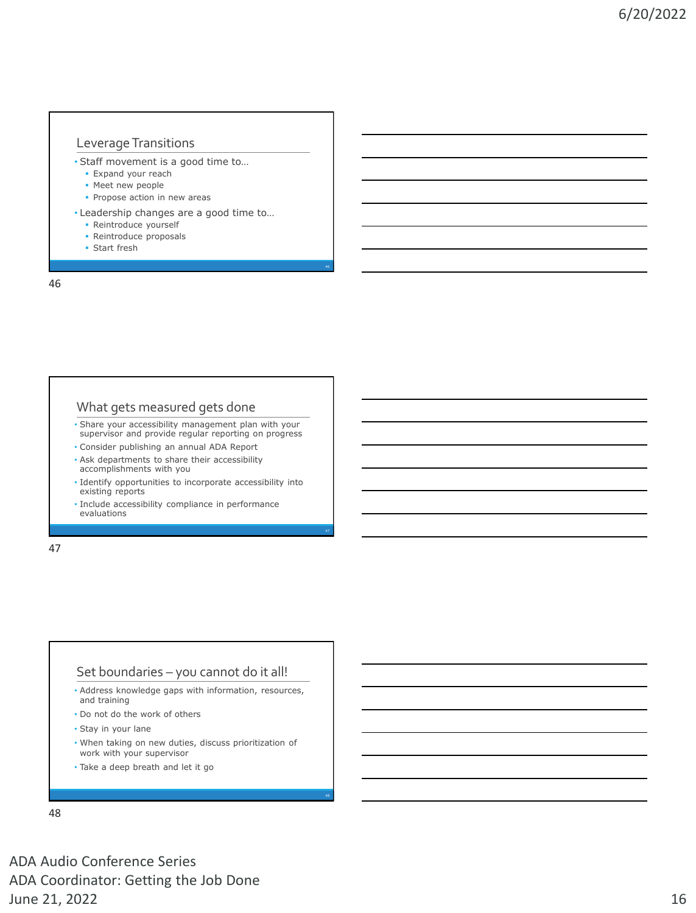### Leverage Transitions

- Staff movement is a good time to…
	- **Expand your reach**
	- **· Meet new people**
	- **Propose action in new areas**
- Leadership changes are a good time to…
	- **Reintroduce yourself**
	- **Reintroduce proposals**
	- Start fresh

46

### What gets measured gets done

- Share your accessibility management plan with your supervisor and provide regular reporting on progress
- Consider publishing an annual ADA Report
- Ask departments to share their accessibility accomplishments with you
- Identify opportunities to incorporate accessibility into existing reports
- Include accessibility compliance in performance evaluations

47

### Set boundaries – you cannot do it all!

- Address knowledge gaps with information, resources, and training
- Do not do the work of others
- Stay in your lane
- When taking on new duties, discuss prioritization of work with your supervisor
- Take a deep breath and let it go

48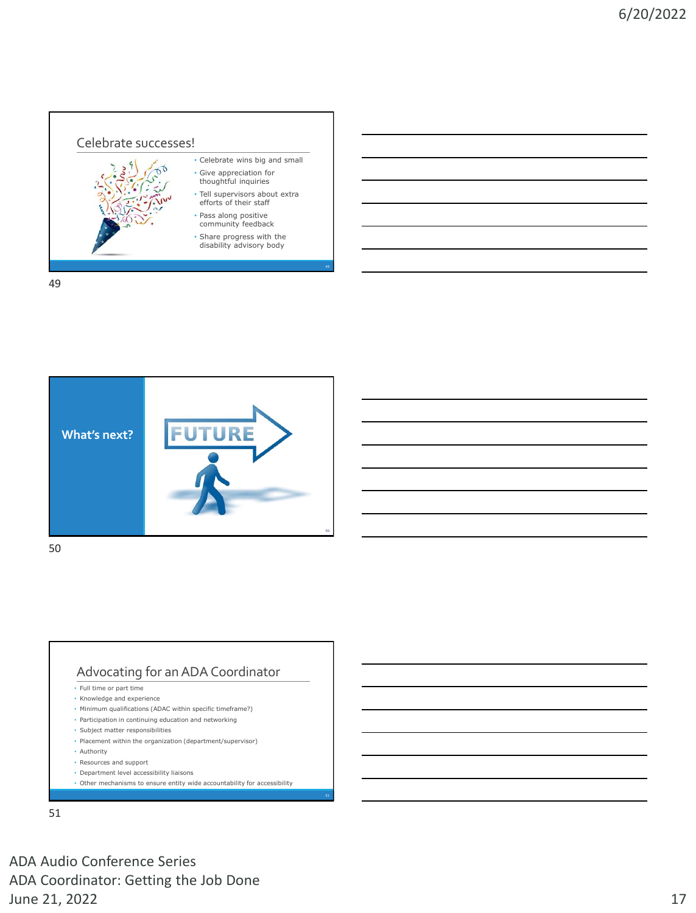

49



50

# Advocating for an ADA Coordinator

- Full time or part time
- Knowledge and experience
- Minimum qualifications (ADAC within specific timeframe?)
- Participation in continuing education and networking
- Subject matter responsibilities
- Placement within the organization (department/supervisor)
- Authority
- Resources and support
- Department level accessibility liaisons
- Other mechanisms to ensure entity wide accountability for accessibility